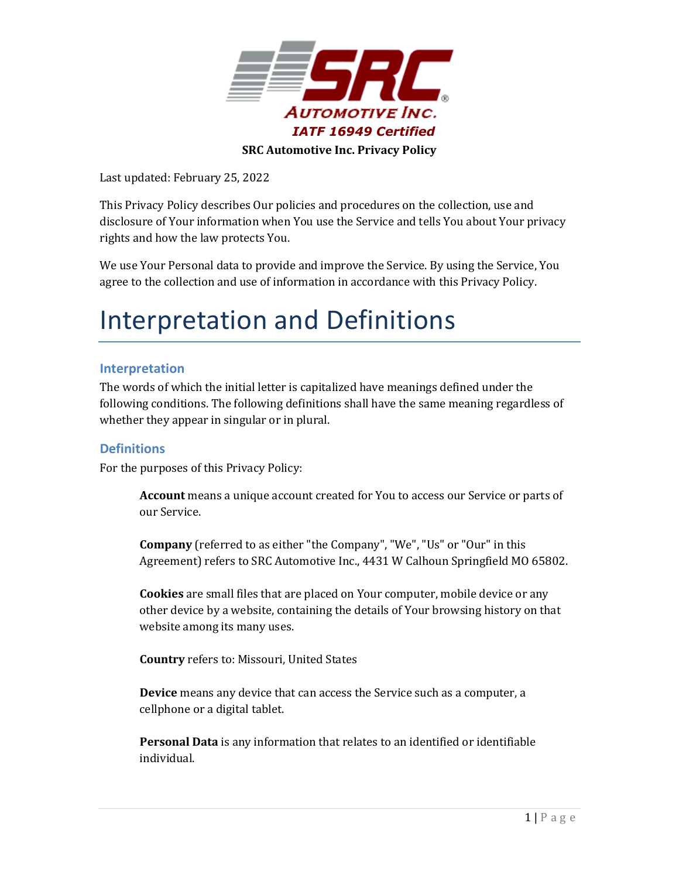

Last updated: February 25, 2022

This Privacy Policy describes Our policies and procedures on the collection, use and disclosure of Your information when You use the Service and tells You about Your privacy rights and how the law protects You.

We use Your Personal data to provide and improve the Service. By using the Service, You agree to the collection and use of information in accordance with this Privacy Policy.

## Interpretation and Definitions

### **Interpretation**

The words of which the initial letter is capitalized have meanings defined under the following conditions. The following definitions shall have the same meaning regardless of whether they appear in singular or in plural.

## **Definitions**

For the purposes of this Privacy Policy:

**Account** means a unique account created for You to access our Service or parts of our Service.

**Company** (referred to as either "the Company", "We", "Us" or "Our" in this Agreement) refers to SRC Automotive Inc., 4431 W Calhoun Springfield MO 65802.

**Cookies** are small files that are placed on Your computer, mobile device or any other device by a website, containing the details of Your browsing history on that website among its many uses.

**Country** refers to: Missouri, United States

**Device** means any device that can access the Service such as a computer, a cellphone or a digital tablet.

**Personal Data** is any information that relates to an identified or identifiable individual.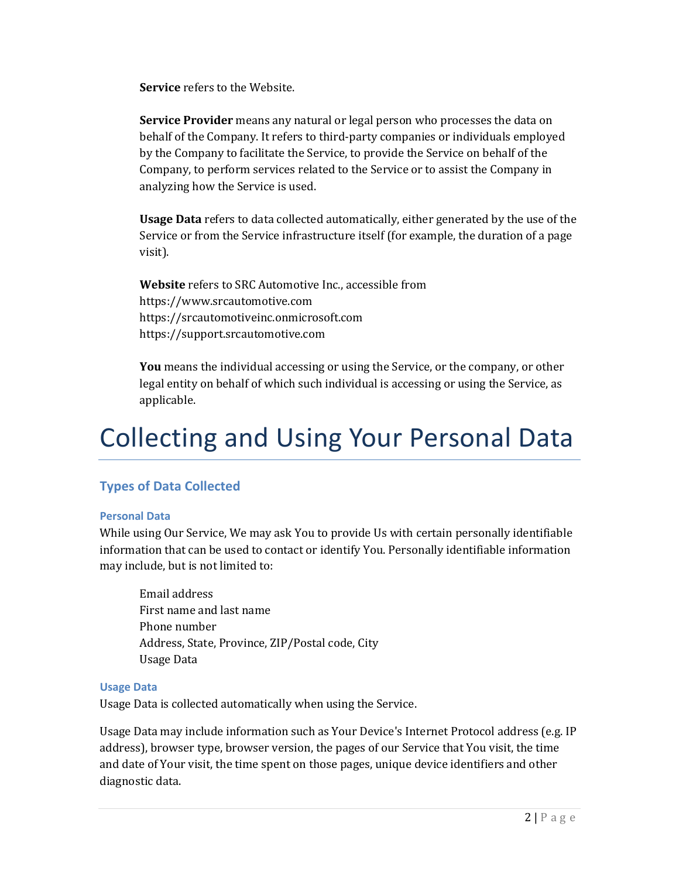**Service** refers to the Website.

**Service Provider** means any natural or legal person who processes the data on behalf of the Company. It refers to third-party companies or individuals employed by the Company to facilitate the Service, to provide the Service on behalf of the Company, to perform services related to the Service or to assist the Company in analyzing how the Service is used.

**Usage Data** refers to data collected automatically, either generated by the use of the Service or from the Service infrastructure itself (for example, the duration of a page visit).

**Website** refers to SRC Automotive Inc., accessible from [https://www.srcautomotive.com](https://www.srcautomotive.com/) https://srcautomotiveinc.onmicrosoft.com https://support.srcautomotive.com

**You** means the individual accessing or using the Service, or the company, or other legal entity on behalf of which such individual is accessing or using the Service, as applicable.

# Collecting and Using Your Personal Data

## **Types of Data Collected**

#### **Personal Data**

While using Our Service, We may ask You to provide Us with certain personally identifiable information that can be used to contact or identify You. Personally identifiable information may include, but is not limited to:

Email address First name and last name Phone number Address, State, Province, ZIP/Postal code, City Usage Data

#### **Usage Data**

Usage Data is collected automatically when using the Service.

Usage Data may include information such as Your Device's Internet Protocol address (e.g. IP address), browser type, browser version, the pages of our Service that You visit, the time and date of Your visit, the time spent on those pages, unique device identifiers and other diagnostic data.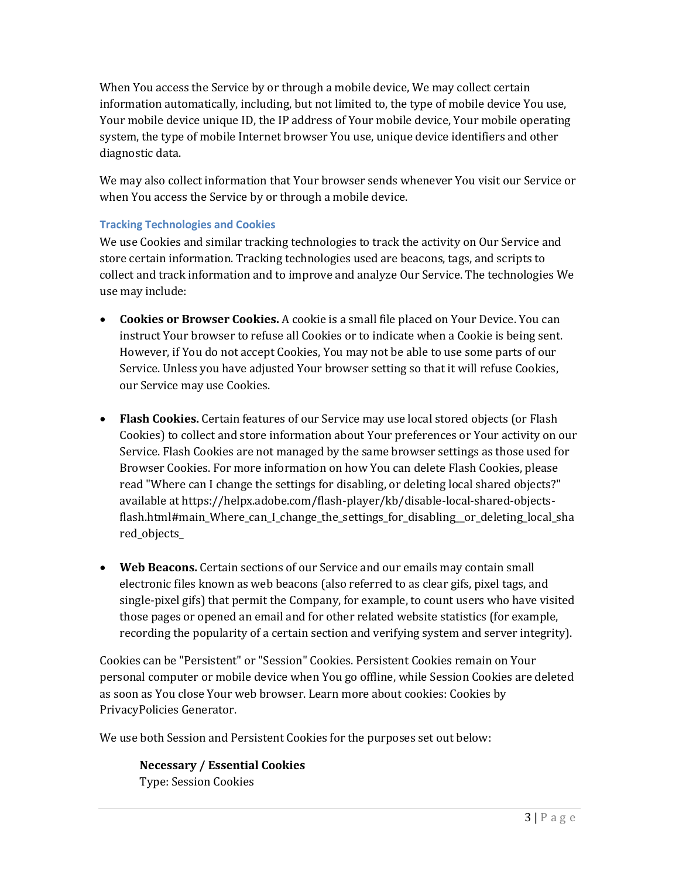When You access the Service by or through a mobile device, We may collect certain information automatically, including, but not limited to, the type of mobile device You use, Your mobile device unique ID, the IP address of Your mobile device, Your mobile operating system, the type of mobile Internet browser You use, unique device identifiers and other diagnostic data.

We may also collect information that Your browser sends whenever You visit our Service or when You access the Service by or through a mobile device.

### **Tracking Technologies and Cookies**

We use Cookies and similar tracking technologies to track the activity on Our Service and store certain information. Tracking technologies used are beacons, tags, and scripts to collect and track information and to improve and analyze Our Service. The technologies We use may include:

- **Cookies or Browser Cookies.** A cookie is a small file placed on Your Device. You can instruct Your browser to refuse all Cookies or to indicate when a Cookie is being sent. However, if You do not accept Cookies, You may not be able to use some parts of our Service. Unless you have adjusted Your browser setting so that it will refuse Cookies, our Service may use Cookies.
- **Flash Cookies.** Certain features of our Service may use local stored objects (or Flash Cookies) to collect and store information about Your preferences or Your activity on our Service. Flash Cookies are not managed by the same browser settings as those used for Browser Cookies. For more information on how You can delete Flash Cookies, please read "Where can I change the settings for disabling, or deleting local shared objects?" available at [https://helpx.adobe.com/flash-player/kb/disable-local-shared-objects](https://helpx.adobe.com/flash-player/kb/disable-local-shared-objects-flash.html#main_Where_can_I_change_the_settings_for_disabling__or_deleting_local_shared_objects_)[flash.html#main\\_Where\\_can\\_I\\_change\\_the\\_settings\\_for\\_disabling\\_\\_or\\_deleting\\_local\\_sha](https://helpx.adobe.com/flash-player/kb/disable-local-shared-objects-flash.html#main_Where_can_I_change_the_settings_for_disabling__or_deleting_local_shared_objects_) [red\\_objects\\_](https://helpx.adobe.com/flash-player/kb/disable-local-shared-objects-flash.html#main_Where_can_I_change_the_settings_for_disabling__or_deleting_local_shared_objects_)
- **Web Beacons.** Certain sections of our Service and our emails may contain small electronic files known as web beacons (also referred to as clear gifs, pixel tags, and single-pixel gifs) that permit the Company, for example, to count users who have visited those pages or opened an email and for other related website statistics (for example, recording the popularity of a certain section and verifying system and server integrity).

Cookies can be "Persistent" or "Session" Cookies. Persistent Cookies remain on Your personal computer or mobile device when You go offline, while Session Cookies are deleted as soon as You close Your web browser. Learn more about cookies: [Cookies by](https://www.privacypolicies.com/blog/privacy-policy-template/#Use_Of_Cookies_Log_Files_And_Tracking)  [PrivacyPolicies Generator.](https://www.privacypolicies.com/blog/privacy-policy-template/#Use_Of_Cookies_Log_Files_And_Tracking)

We use both Session and Persistent Cookies for the purposes set out below:

**Necessary / Essential Cookies** Type: Session Cookies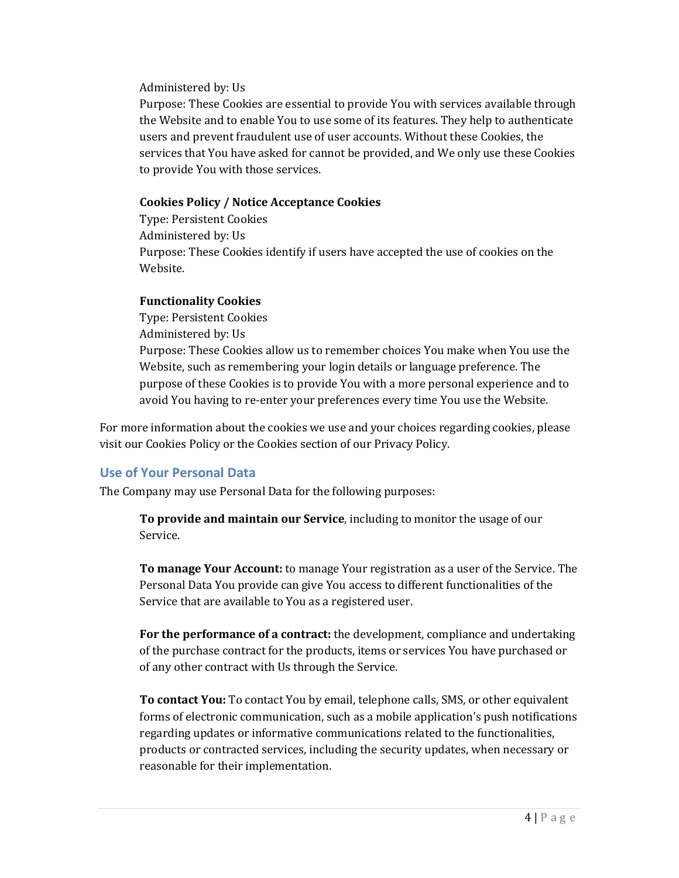Administered by: Us

Purpose: These Cookies are essential to provide You with services available through the Website and to enable You to use some of its features. They help to authenticate users and prevent fraudulent use of user accounts. Without these Cookies, the services that You have asked for cannot be provided, and We only use these Cookies to provide You with those services.

#### **Cookies Policy / Notice Acceptance Cookies**

Type: Persistent Cookies Administered by: Us Purpose: These Cookies identify if users have accepted the use of cookies on the Website.

#### **Functionality Cookies**

Type: Persistent Cookies Administered by: Us Purpose: These Cookies allow us to remember choices You make when You use the Website, such as remembering your login details or language preference. The purpose of these Cookies is to provide You with a more personal experience and to avoid You having to re-enter your preferences every time You use the Website.

For more information about the cookies we use and your choices regarding cookies, please visit our Cookies Policy or the Cookies section of our Privacy Policy.

## **Use of Your Personal Data**

The Company may use Personal Data for the following purposes:

**To provide and maintain our Service**, including to monitor the usage of our Service.

**To manage Your Account:** to manage Your registration as a user of the Service. The Personal Data You provide can give You access to different functionalities of the Service that are available to You as a registered user.

**For the performance of a contract:** the development, compliance and undertaking of the purchase contract for the products, items or services You have purchased or of any other contract with Us through the Service.

**To contact You:** To contact You by email, telephone calls, SMS, or other equivalent forms of electronic communication, such as a mobile application's push notifications regarding updates or informative communications related to the functionalities, products or contracted services, including the security updates, when necessary or reasonable for their implementation.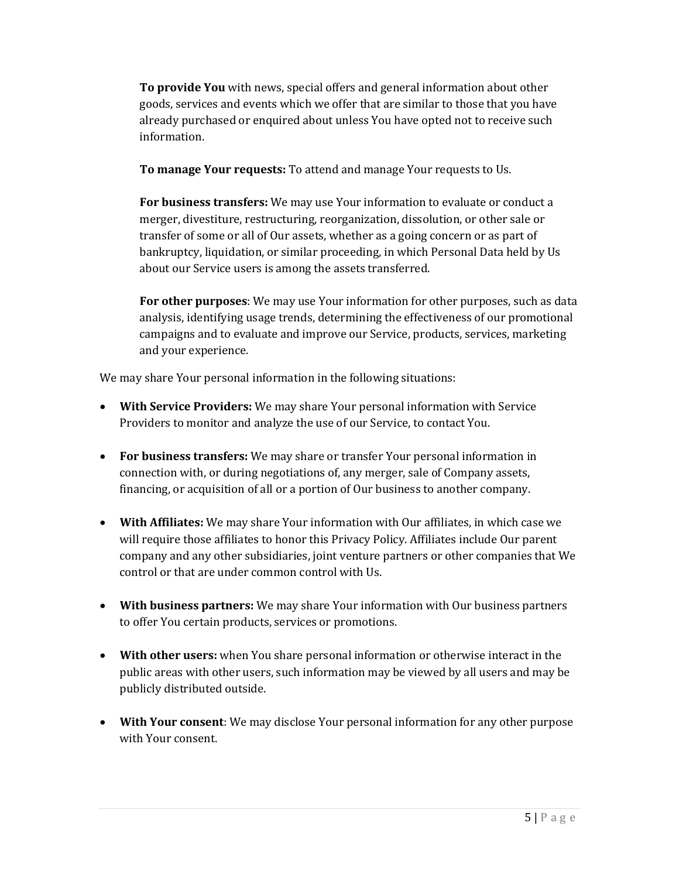**To provide You** with news, special offers and general information about other goods, services and events which we offer that are similar to those that you have already purchased or enquired about unless You have opted not to receive such information.

**To manage Your requests:** To attend and manage Your requests to Us.

**For business transfers:** We may use Your information to evaluate or conduct a merger, divestiture, restructuring, reorganization, dissolution, or other sale or transfer of some or all of Our assets, whether as a going concern or as part of bankruptcy, liquidation, or similar proceeding, in which Personal Data held by Us about our Service users is among the assets transferred.

**For other purposes**: We may use Your information for other purposes, such as data analysis, identifying usage trends, determining the effectiveness of our promotional campaigns and to evaluate and improve our Service, products, services, marketing and your experience.

We may share Your personal information in the following situations:

- **With Service Providers:** We may share Your personal information with Service Providers to monitor and analyze the use of our Service, to contact You.
- **For business transfers:** We may share or transfer Your personal information in connection with, or during negotiations of, any merger, sale of Company assets, financing, or acquisition of all or a portion of Our business to another company.
- **With Affiliates:** We may share Your information with Our affiliates, in which case we will require those affiliates to honor this Privacy Policy. Affiliates include Our parent company and any other subsidiaries, joint venture partners or other companies that We control or that are under common control with Us.
- **With business partners:** We may share Your information with Our business partners to offer You certain products, services or promotions.
- **With other users:** when You share personal information or otherwise interact in the public areas with other users, such information may be viewed by all users and may be publicly distributed outside.
- **With Your consent**: We may disclose Your personal information for any other purpose with Your consent.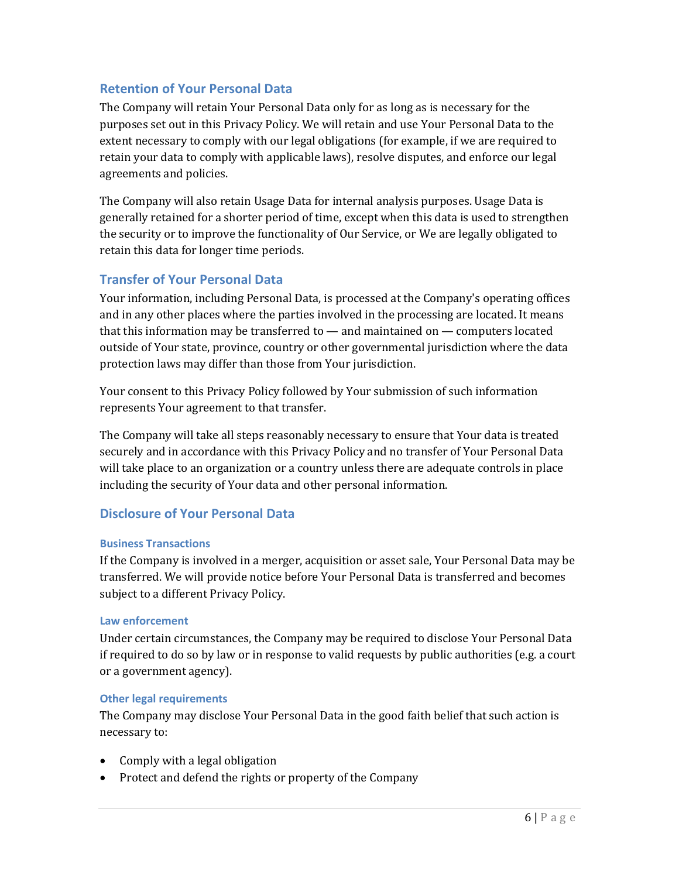### **Retention of Your Personal Data**

The Company will retain Your Personal Data only for as long as is necessary for the purposes set out in this Privacy Policy. We will retain and use Your Personal Data to the extent necessary to comply with our legal obligations (for example, if we are required to retain your data to comply with applicable laws), resolve disputes, and enforce our legal agreements and policies.

The Company will also retain Usage Data for internal analysis purposes. Usage Data is generally retained for a shorter period of time, except when this data is used to strengthen the security or to improve the functionality of Our Service, or We are legally obligated to retain this data for longer time periods.

### **Transfer of Your Personal Data**

Your information, including Personal Data, is processed at the Company's operating offices and in any other places where the parties involved in the processing are located. It means that this information may be transferred to — and maintained on — computers located outside of Your state, province, country or other governmental jurisdiction where the data protection laws may differ than those from Your jurisdiction.

Your consent to this Privacy Policy followed by Your submission of such information represents Your agreement to that transfer.

The Company will take all steps reasonably necessary to ensure that Your data is treated securely and in accordance with this Privacy Policy and no transfer of Your Personal Data will take place to an organization or a country unless there are adequate controls in place including the security of Your data and other personal information.

### **Disclosure of Your Personal Data**

#### **Business Transactions**

If the Company is involved in a merger, acquisition or asset sale, Your Personal Data may be transferred. We will provide notice before Your Personal Data is transferred and becomes subject to a different Privacy Policy.

#### **Law enforcement**

Under certain circumstances, the Company may be required to disclose Your Personal Data if required to do so by law or in response to valid requests by public authorities (e.g. a court or a government agency).

#### **Other legal requirements**

The Company may disclose Your Personal Data in the good faith belief that such action is necessary to:

- Comply with a legal obligation
- Protect and defend the rights or property of the Company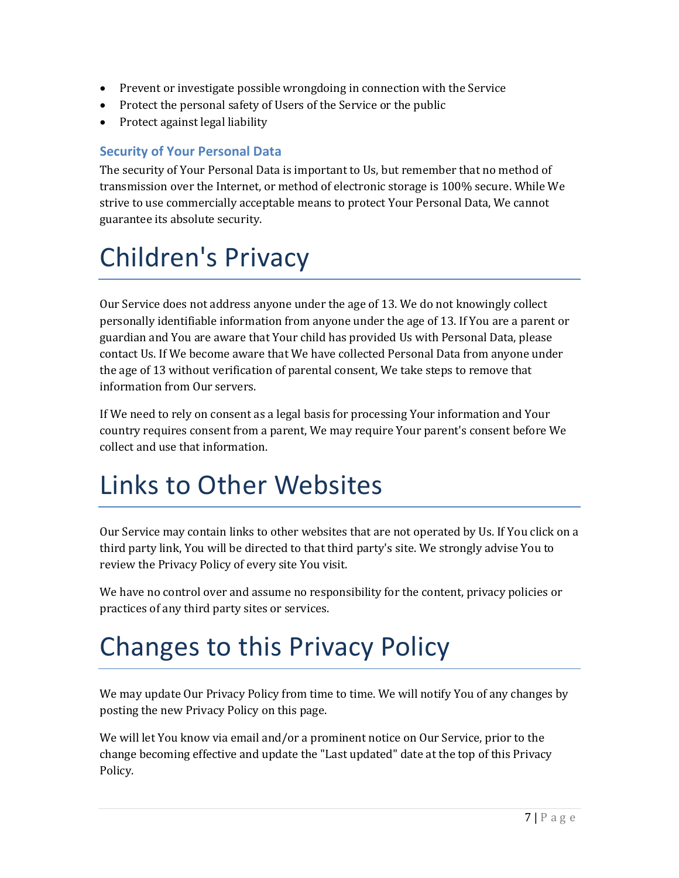- Prevent or investigate possible wrongdoing in connection with the Service
- Protect the personal safety of Users of the Service or the public
- Protect against legal liability

## **Security of Your Personal Data**

The security of Your Personal Data is important to Us, but remember that no method of transmission over the Internet, or method of electronic storage is 100% secure. While We strive to use commercially acceptable means to protect Your Personal Data, We cannot guarantee its absolute security.

# Children's Privacy

Our Service does not address anyone under the age of 13. We do not knowingly collect personally identifiable information from anyone under the age of 13. If You are a parent or guardian and You are aware that Your child has provided Us with Personal Data, please contact Us. If We become aware that We have collected Personal Data from anyone under the age of 13 without verification of parental consent, We take steps to remove that information from Our servers.

If We need to rely on consent as a legal basis for processing Your information and Your country requires consent from a parent, We may require Your parent's consent before We collect and use that information.

## Links to Other Websites

Our Service may contain links to other websites that are not operated by Us. If You click on a third party link, You will be directed to that third party's site. We strongly advise You to review the Privacy Policy of every site You visit.

We have no control over and assume no responsibility for the content, privacy policies or practices of any third party sites or services.

# Changes to this Privacy Policy

We may update Our Privacy Policy from time to time. We will notify You of any changes by posting the new Privacy Policy on this page.

We will let You know via email and/or a prominent notice on Our Service, prior to the change becoming effective and update the "Last updated" date at the top of this Privacy Policy.